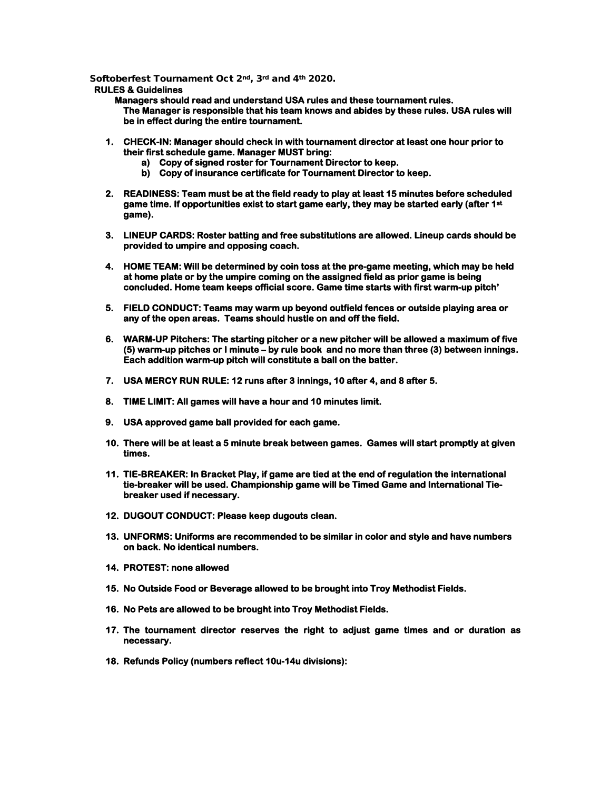Softoberfest Tournament Oct 2nd, 3rd and 4th 2020.

## **RULES & Guidelines**

 **Managers should read and understand USA rules and these tournament rules. The Manager is responsible that his team knows and abides by these rules. USA rules will be in effect during the entire tournament.** 

- **1. CHECK-IN: Manager should check in with tournament director at least one hour prior to their first schedule game. Manager MUST bring:** 
	- **a) Copy of signed roster for Tournament Director to keep.**
	- **b) Copy of insurance certificate for Tournament Director to keep.**
- **2. READINESS: Team must be at the field ready to play at least 15 minutes before scheduled game time. If opportunities exist to start game early, they may be started early (after 1st game).**
- **3. LINEUP CARDS: Roster batting and free substitutions are allowed. Lineup cards should be provided to umpire and opposing coach.**
- **4. HOME TEAM: Will be determined by coin toss at the pre-game meeting, which may be held at home plate or by the umpire coming on the assigned field as prior game is being concluded. Home team keeps official score. Game time starts with first warm-up pitch'**
- **5. FIELD CONDUCT: Teams may warm up beyond outfield fences or outside playing area or any of the open areas. Teams should hustle on and off the field.**
- **6. WARM-UP Pitchers: The starting pitcher or a new pitcher will be allowed a maximum of five (5) warm-up pitches or I minute – by rule book and no more than three (3) between innings. Each addition warm-up pitch will constitute a ball on the batter.**
- **7. USA MERCY RUN RULE: 12 runs after 3 innings, 10 after 4, and 8 after 5.**
- **8. TIME LIMIT: All games will have a hour and 10 minutes limit.**
- **9. USA approved game ball provided for each game.**
- **10. There will be at least a 5 minute break between games. Games will start promptly at given times.**
- **11. TIE-BREAKER: In Bracket Play, if game are tied at the end of regulation the international tie-breaker will be used. Championship game will be Timed Game and International Tiebreaker used if necessary.**
- **12. DUGOUT CONDUCT: Please keep dugouts clean.**
- **13. UNFORMS: Uniforms are recommended to be similar in color and style and have numbers on back. No identical numbers.**
- **14. PROTEST: none allowed**
- **15. No Outside Food or Beverage allowed to be brought into Troy Methodist Fields.**
- **16. No Pets are allowed to be brought into Troy Methodist Fields.**
- **17. The tournament director reserves the right to adjust game times and or duration as necessary.**
- **18. Refunds Policy (numbers reflect 10u-14u divisions):**